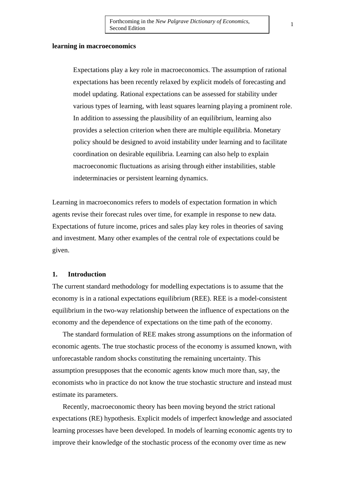### **learning in macroeconomics**

Expectations play a key role in macroeconomics. The assumption of rational expectations has been recently relaxed by explicit models of forecasting and model updating. Rational expectations can be assessed for stability under various types of learning, with least squares learning playing a prominent role. In addition to assessing the plausibility of an equilibrium, learning also provides a selection criterion when there are multiple equilibria. Monetary policy should be designed to avoid instability under learning and to facilitate coordination on desirable equilibria. Learning can also help to explain macroeconomic fluctuations as arising through either instabilities, stable indeterminacies or persistent learning dynamics.

Learning in macroeconomics refers to models of expectation formation in which agents revise their forecast rules over time, for example in response to new data. Expectations of future income, prices and sales play key roles in theories of saving and investment. Many other examples of the central role of expectations could be given.

## **1. Introduction**

The current standard methodology for modelling expectations is to assume that the economy is in a rational expectations equilibrium (REE). REE is a model-consistent equilibrium in the two-way relationship between the influence of expectations on the economy and the dependence of expectations on the time path of the economy.

The standard formulation of REE makes strong assumptions on the information of economic agents. The true stochastic process of the economy is assumed known, with unforecastable random shocks constituting the remaining uncertainty. This assumption presupposes that the economic agents know much more than, say, the economists who in practice do not know the true stochastic structure and instead must estimate its parameters.

Recently, macroeconomic theory has been moving beyond the strict rational expectations (RE) hypothesis. Explicit models of imperfect knowledge and associated learning processes have been developed. In models of learning economic agents try to improve their knowledge of the stochastic process of the economy over time as new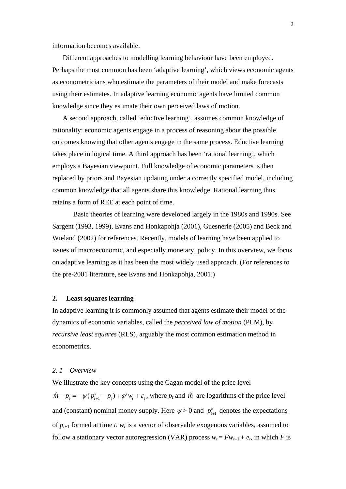information becomes available.

Different approaches to modelling learning behaviour have been employed. Perhaps the most common has been 'adaptive learning', which views economic agents as econometricians who estimate the parameters of their model and make forecasts using their estimates. In adaptive learning economic agents have limited common knowledge since they estimate their own perceived laws of motion.

A second approach, called 'eductive learning', assumes common knowledge of rationality: economic agents engage in a process of reasoning about the possible outcomes knowing that other agents engage in the same process. Eductive learning takes place in logical time. A third approach has been 'rational learning', which employs a Bayesian viewpoint. Full knowledge of economic parameters is then replaced by priors and Bayesian updating under a correctly specified model, including common knowledge that all agents share this knowledge. Rational learning thus retains a form of REE at each point of time.

 Basic theories of learning were developed largely in the 1980s and 1990s. See Sargent (1993, 1999), Evans and Honkapohja (2001), Guesnerie (2005) and Beck and Wieland (2002) for references. Recently, models of learning have been applied to issues of macroeconomic, and especially monetary, policy. In this overview, we focus on adaptive learning as it has been the most widely used approach. (For references to the pre-2001 literature, see Evans and Honkapohja, 2001.)

## **2. Least squares learning**

In adaptive learning it is commonly assumed that agents estimate their model of the dynamics of economic variables, called the *perceived law of motion* (PLM), by *recursive least squares* (RLS), arguably the most common estimation method in econometrics.

## *2. 1 Overview*

We illustrate the key concepts using the Cagan model of the price level  $\hat{m} - p_t = -\psi(p_{t+1}^e - p_t) + \varphi' w_t + \varepsilon_t$ , where  $p_t$  and  $\hat{m}$  are logarithms of the price level and (constant) nominal money supply. Here  $\psi > 0$  and  $p_{t+1}^e$  denotes the expectations of  $p_{t+1}$  formed at time *t*.  $w_t$  is a vector of observable exogenous variables, assumed to follow a stationary vector autoregression (VAR) process  $w_t = Fw_{t-1} + e_t$ , in which *F* is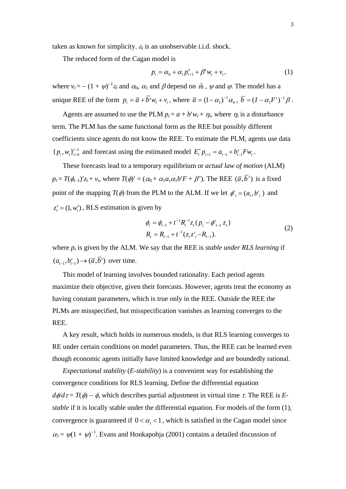taken as known for simplicity.  $\varepsilon_t$  is an unobservable i.i.d. shock.

The reduced form of the Cagan model is

$$
p_{t} = \alpha_{0} + \alpha_{1} p_{t+1}^{e} + \beta' w_{t} + v_{t}, \qquad (1)
$$

where  $v_t = -(1 + \psi)^{-1} \varepsilon_t$  and  $\alpha_0$ ,  $\alpha_1$  and  $\beta$  depend on  $\hat{m}$ ,  $\psi$  and  $\varphi$ . The model has a unique REE of the form  $p_t = \overline{a} + \overline{b}'w_t + v_t$ , where  $\overline{a} = (1 - \alpha_1)^{-1} \alpha_0$ ,  $\overline{b} = (I - \alpha_1 F')^{-1} \beta$ .

Agents are assumed to use the PLM  $p_t = a + b'w_t + \eta_t$ , where  $\eta_t$  is a disturbance term. The PLM has the same functional form as the REE but possibly different coefficients since agents do not know the REE. To estimate the PLM, agents use data  ${p_i, w_i}_{i=0}^{t-1}$  and forecast using the estimated model  $E_t^* p_{t+1} = a_{t-1} + b'_{t-1} F w_t$ .

These forecasts lead to a temporary equilibrium or *actual law of motion* (ALM)  $p_t = T(\phi_{t-1})'z_t + v_t$ , where  $T(\phi)' = (\alpha_0 + \alpha_1 a, \alpha_1 b' F + \beta')$ . The REE  $(\overline{a}, \overline{b})$  is a fixed point of the mapping  $T(\phi)$  from the PLM to the ALM. If we let  $\phi'_{t} = (a_{t}, b'_{t})$  and  $z'_i = (1, w'_i)$ , RLS estimation is given by

$$
\phi_t = \phi_{t-1} + t^{-1} R_t^{-1} z_t (p_t - \phi_{t-1}^{\dagger} z_t)
$$
  
\n
$$
R_t = R_{t-1} + t^{-1} (z_t z_t^{\dagger} - R_{t-1}).
$$
\n(2)

where  $p_t$  is given by the ALM. We say that the REE is *stable under RLS learning* if  $(a_{t-1}, b'_{t-1}) \rightarrow (\overline{a}, b')$  over time.

This model of learning involves bounded rationality. Each period agents maximize their objective, given their forecasts. However, agents treat the economy as having constant parameters, which is true only in the REE. Outside the REE the PLMs are misspecified, but misspecification vanishes as learning converges to the REE.

A key result, which holds in numerous models, is that RLS learning converges to RE under certain conditions on model parameters. Thus, the REE can be learned even though economic agents initially have limited knowledge and are boundedly rational.

convergence is guaranteed if  $0 < \alpha_1 < 1$ , which is satisfied in the Cagan model since *Expectational stability* (*E-stability*) is a convenient way for establishing the convergence conditions for RLS learning. Define the differential equation  $d\phi/d\tau = T(\phi) - \phi$ , which describes partial adjustment in virtual time  $\tau$ . The REE is *Estable* if it is locally stable under the differential equation. For models of the form (1),  $\alpha_1 = \psi(1 + \psi)^{-1}$ . Evans and Honkapohja (2001) contains a detailed discussion of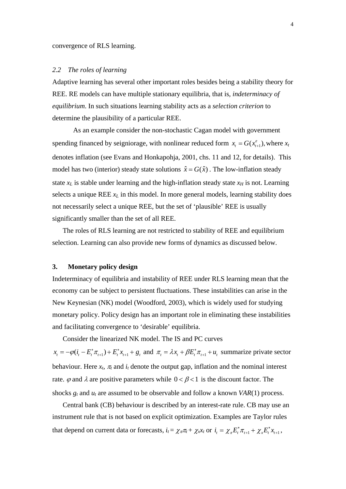## *2.2 The roles of learning*

Adaptive learning has several other important roles besides being a stability theory for REE. RE models can have multiple stationary equilibria, that is, *indeterminacy of equilibrium*. In such situations learning stability acts as a *selection criterion* to determine the plausibility of a particular REE.

 As an example consider the non-stochastic Cagan model with government spending financed by seigniorage, with nonlinear reduced form  $x_t = G(x_{t+1}^e)$ , where  $x_t$ denotes inflation (see Evans and Honkapohja, 2001, chs. 11 and 12, for details). This model has two (interior) steady state solutions  $\hat{x} = G(\hat{x})$ . The low-inflation steady state  $x_L$  is stable under learning and the high-inflation steady state  $x_H$  is not. Learning selects a unique REE  $x_L$  in this model. In more general models, learning stability does not necessarily select a unique REE, but the set of 'plausible' REE is usually significantly smaller than the set of all REE.

The roles of RLS learning are not restricted to stability of REE and equilibrium selection. Learning can also provide new forms of dynamics as discussed below.

## **3. Monetary policy design**

Indeterminacy of equilibria and instability of REE under RLS learning mean that the economy can be subject to persistent fluctuations. These instabilities can arise in the New Keynesian (NK) model (Woodford, 2003), which is widely used for studying monetary policy. Policy design has an important role in eliminating these instabilities and facilitating convergence to 'desirable' equilibria.

Consider the linearized NK model. The IS and PC curves

 $x_t = -\varphi(i_t - E_t^* \pi_{t+1}) + E_t^* x_{t+1} + g_t$  and  $\pi_t = \lambda x_t + \beta E_t^* \pi_{t+1} + u_t$  summarize private sector rate.  $\varphi$  and  $\lambda$  are positive parameters while  $0 < \beta < 1$  is the discount factor. The behaviour. Here  $x_t$ ,  $\pi_t$  and  $i_t$  denote the output gap, inflation and the nominal interest shocks  $g_t$  and  $u_t$  are assumed to be observable and follow a known *VAR*(1) process.

Central bank (CB) behaviour is described by an interest-rate rule. CB may use an instrument rule that is not based on explicit optimization. Examples are Taylor rules that depend on current data or forecasts,  $i_t = \chi_{\pi} \pi_t + \chi_x x_t$  or  $i_t = \chi_{\pi} E_t^* \pi_{t+1} + \chi_x E_t^* x_{t+1}$ ,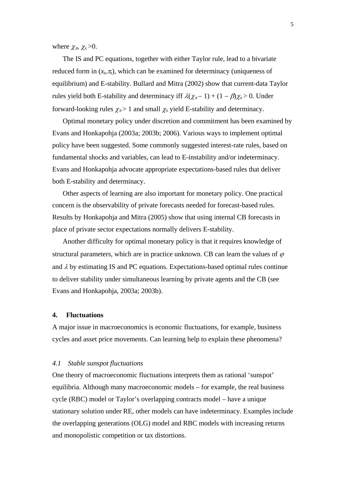where  $\chi_{\pi}$ ,  $\chi_{\chi}$  >0.

The IS and PC equations, together with either Taylor rule, lead to a bivariate reduced form in  $(x_t, \pi_t)$ , which can be examined for determinacy (uniqueness of equilibrium) and E-stability. Bullard and Mitra (2002) show that current-data Taylor rules yield both E-stability and determinacy iff  $\lambda(\chi_{\pi}-1) + (1 - \beta)\chi_{\chi} > 0$ . Under forward-looking rules  $\chi_{\pi}$  > 1 and small  $\chi_{\chi}$  yield E-stability and determinacy.

Optimal monetary policy under discretion and commitment has been examined by Evans and Honkapohja (2003a; 2003b; 2006). Various ways to implement optimal policy have been suggested. Some commonly suggested interest-rate rules, based on fundamental shocks and variables, can lead to E-instability and/or indeterminacy. Evans and Honkapohja advocate appropriate expectations-based rules that deliver both E-stability and determinacy.

Other aspects of learning are also important for monetary policy. One practical concern is the observability of private forecasts needed for forecast-based rules. Results by Honkapohja and Mitra (2005) show that using internal CB forecasts in place of private sector expectations normally delivers E-stability.

Another difficulty for optimal monetary policy is that it requires knowledge of structural parameters, which are in practice unknown. CB can learn the values of  $\varphi$ and  $\lambda$  by estimating IS and PC equations. Expectations-based optimal rules continue to deliver stability under simultaneous learning by private agents and the CB (see Evans and Honkapohja, 2003a; 2003b).

# **4. Fluctuations**

A major issue in macroeconomics is economic fluctuations, for example, business cycles and asset price movements. Can learning help to explain these phenomena?

#### *4.1 Stable sunspot fluctuations*

One theory of macroeconomic fluctuations interprets them as rational 'sunspot' equilibria. Although many macroeconomic models – for example, the real business cycle (RBC) model or Taylor's overlapping contracts model – have a unique stationary solution under RE, other models can have indeterminacy. Examples include the overlapping generations (OLG) model and RBC models with increasing returns and monopolistic competition or tax distortions.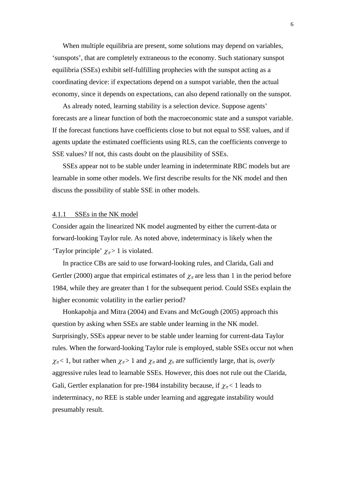When multiple equilibria are present, some solutions may depend on variables, 'sunspots', that are completely extraneous to the economy. Such stationary sunspot equilibria (SSEs) exhibit self-fulfilling prophecies with the sunspot acting as a coordinating device: if expectations depend on a sunspot variable, then the actual economy, since it depends on expectations, can also depend rationally on the sunspot.

As already noted, learning stability is a selection device. Suppose agents' forecasts are a linear function of both the macroeconomic state and a sunspot variable. If the forecast functions have coefficients close to but not equal to SSE values, and if agents update the estimated coefficients using RLS, can the coefficients converge to SSE values? If not, this casts doubt on the plausibility of SSEs.

SSEs appear not to be stable under learning in indeterminate RBC models but are learnable in some other models. We first describe results for the NK model and then discuss the possibility of stable SSE in other models.

## 4.1.1 SSEs in the NK model

Consider again the linearized NK model augmented by either the current-data or forward-looking Taylor rule. As noted above, indeterminacy is likely when the 'Taylor principle'  $\chi_{\pi}$  > 1 is violated.

In practice CBs are said to use forward-looking rules, and Clarida, Gali and Gertler (2000) argue that empirical estimates of  $\chi_{\pi}$  are less than 1 in the period before 1984, while they are greater than 1 for the subsequent period. Could SSEs explain the higher economic volatility in the earlier period?

Honkapohja and Mitra (2004) and Evans and McGough (2005) approach this question by asking when SSEs are stable under learning in the NK model. Surprisingly, SSEs appear never to be stable under learning for current-data Taylor rules. When the forward-looking Taylor rule is employed, stable SSEs occur not when  $\chi_{\pi}$  < 1, but rather when  $\chi_{\pi}$  > 1 and  $\chi_{\pi}$  and  $\chi_{x}$  are sufficiently large, that is, *overly* aggressive rules lead to learnable SSEs. However, this does not rule out the Clarida, Gali, Gertler explanation for pre-1984 instability because, if  $\chi_{\pi}$  < 1 leads to indeterminacy, *no* REE is stable under learning and aggregate instability would presumably result.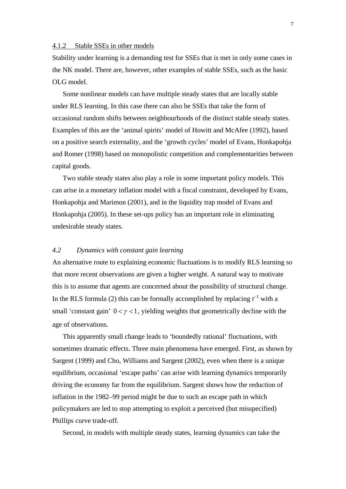#### 4.1.2 Stable SSEs in other models

Stability under learning is a demanding test for SSEs that is met in only some cases in the NK model. There are, however, other examples of stable SSEs, such as the basic OLG model.

Some nonlinear models can have multiple steady states that are locally stable under RLS learning. In this case there can also be SSEs that take the form of occasional random shifts between neighbourhoods of the distinct stable steady states. Examples of this are the 'animal spirits' model of Howitt and McAfee (1992), based on a positive search externality, and the 'growth cycles' model of Evans, Honkapohja and Romer (1998) based on monopolistic competition and complementarities between capital goods.

Two stable steady states also play a role in some important policy models. This can arise in a monetary inflation model with a fiscal constraint, developed by Evans, Honkapohja and Marimon (2001), and in the liquidity trap model of Evans and Honkapohja (2005). In these set-ups policy has an important role in eliminating undesirable steady states.

## *4.2 Dynamics with constant gain learning*

An alternative route to explaining economic fluctuations is to modify RLS learning so that more recent observations are given a higher weight. A natural way to motivate this is to assume that agents are concerned about the possibility of structural change. In the RLS formula (2) this can be formally accomplished by replacing  $t^{-1}$  with a small 'constant gain'  $0 < \gamma < 1$ , yielding weights that geometrically decline with the age of observations.

This apparently small change leads to 'boundedly rational' fluctuations, with sometimes dramatic effects. Three main phenomena have emerged. First, as shown by Sargent (1999) and Cho, Williams and Sargent (2002), even when there is a unique equilibrium, occasional 'escape paths' can arise with learning dynamics temporarily driving the economy far from the equilibrium. Sargent shows how the reduction of inflation in the 1982–99 period might be due to such an escape path in which policymakers are led to stop attempting to exploit a perceived (but misspecified) Phillips curve trade-off.

Second, in models with multiple steady states, learning dynamics can take the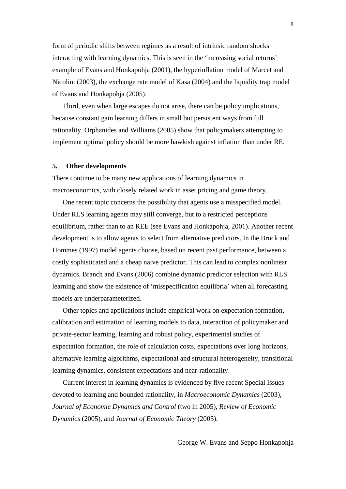form of periodic shifts between regimes as a result of intrinsic random shocks interacting with learning dynamics. This is seen in the 'increasing social returns' example of Evans and Honkapohja (2001), the hyperinflation model of Marcet and Nicolini (2003), the exchange rate model of Kasa (2004) and the liquidity trap model of Evans and Honkapohja (2005).

Third, even when large escapes do not arise, there can be policy implications, because constant gain learning differs in small but persistent ways from full rationality. Orphanides and Williams (2005) show that policymakers attempting to implement optimal policy should be more hawkish against inflation than under RE.

## **5. Other developments**

There continue to be many new applications of learning dynamics in macroeconomics, with closely related work in asset pricing and game theory.

One recent topic concerns the possibility that agents use a misspecified model. Under RLS learning agents may still converge, but to a restricted perceptions equilibrium, rather than to an REE (see Evans and Honkapohja, 2001). Another recent development is to allow agents to select from alternative predictors. In the Brock and Hommes (1997) model agents choose, based on recent past performance, between a costly sophisticated and a cheap naive predictor. This can lead to complex nonlinear dynamics. Branch and Evans (2006) combine dynamic predictor selection with RLS learning and show the existence of 'misspecification equilibria' when all forecasting models are underparameterized.

Other topics and applications include empirical work on expectation formation, calibration and estimation of learning models to data, interaction of policymaker and private-sector learning, learning and robust policy, experimental studies of expectation formation, the role of calculation costs, expectations over long horizons, alternative learning algorithms, expectational and structural heterogeneity, transitional learning dynamics, consistent expectations and near-rationality.

Current interest in learning dynamics is evidenced by five recent Special Issues devoted to learning and bounded rationality, in *Macroeconomic Dynamics* (2003), *Journal of Economic Dynamics and Control* (two in 2005), *Review of Economic Dynamics* (2005), and *Journal of Economic Theory* (2005).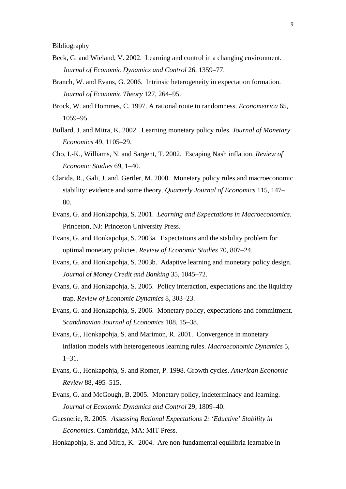Bibliography

- Beck, G. and Wieland, V. 2002. Learning and control in a changing environment. *Journal of Economic Dynamics and Control* 26, 1359–77.
- Branch, W. and Evans, G. 2006. Intrinsic heterogeneity in expectation formation. *Journal of Economic Theory* 127, 264–95.
- Brock, W. and Hommes, C. 1997. A rational route to randomness. *Econometrica* 65, 1059–95.
- Bullard, J. and Mitra, K. 2002. Learning monetary policy rules. *Journal of Monetary Economics* 49, 1105–29.
- Cho, I.-K., Williams, N. and Sargent, T. 2002. Escaping Nash inflation. *Review of Economic Studies* 69, 1–40*.*
- Clarida, R., Gali, J. and. Gertler, M. 2000. Monetary policy rules and macroeconomic stability: evidence and some theory. *Quarterly Journal of Economics* 115, 147– 80.
- Evans, G. and Honkapohja, S. 2001. *Learning and Expectations in Macroeconomics*. Princeton, NJ: Princeton University Press.
- Evans, G. and Honkapohja, S. 2003a. Expectations and the stability problem for optimal monetary policies. *Review of Economic Studies* 70, 807–24.
- Evans, G. and Honkapohja, S. 2003b. Adaptive learning and monetary policy design. *Journal of Money Credit and Banking* 35, 1045–72.
- Evans, G. and Honkapohja, S. 2005. Policy interaction, expectations and the liquidity trap. *Review of Economic Dynamics* 8, 303–23.
- Evans, G. and Honkapohja, S. 2006. Monetary policy, expectations and commitment. *Scandinavian Journal of Economics* 108, 15–38.
- Evans, G., Honkapohja, S. and Marimon, R. 2001. Convergence in monetary inflation models with heterogeneous learning rules. *Macroeconomic Dynamics* 5, 1–31.
- Evans, G., Honkapohja, S. and Romer, P. 1998. Growth cycles. *American Economic Review* 88, 495–515.
- Evans, G. and McGough, B. 2005. Monetary policy, indeterminacy and learning. *Journal of Economic Dynamics and Control* 29, 1809–40.
- Guesnerie, R. 2005. *Assessing Rational Expectations 2: 'Eductive' Stability in Economics*. Cambridge, MA: MIT Press.
- Honkapohja, S. and Mitra, K. 2004. Are non-fundamental equilibria learnable in